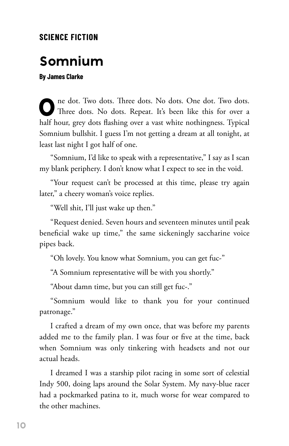## **SCIENCE FICTION**

## **Somnium**

**By James Clarke**

**0 ne** dot. Two dots. Three dots. No dots. One dot. Two dots. Three dots. No dots. Repeat. It's been like this for over a half hour, grey dots flashing over a vast white nothingness. Typical Somnium bullshit. I guess I'm not getting a dream at all tonight, at least last night I got half of one.

"Somnium, I'd like to speak with a representative," I say as I scan my blank periphery. I don't know what I expect to see in the void.

"Your request can't be processed at this time, please try again later," a cheery woman's voice replies.

"Well shit, I'll just wake up then."

"Request denied. Seven hours and seventeen minutes until peak beneficial wake up time," the same sickeningly saccharine voice pipes back.

"Oh lovely. You know what Somnium, you can get fuc-"

"A Somnium representative will be with you shortly."

"About damn time, but you can still get fuc-."

"Somnium would like to thank you for your continued patronage."

I crafted a dream of my own once, that was before my parents added me to the family plan. I was four or five at the time, back when Somnium was only tinkering with headsets and not our actual heads.

I dreamed I was a starship pilot racing in some sort of celestial Indy 500, doing laps around the Solar System. My navy-blue racer had a pockmarked patina to it, much worse for wear compared to the other machines.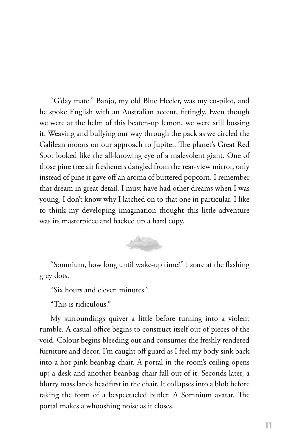"G'day mate." Banjo, my old Blue Heeler, was my co-pilot, and he spoke English with an Australian accent, fittingly. Even though we were at the helm of this beaten-up lemon, we were still bossing it. Weaving and bullying our way through the pack as we circled the Galilean moons on our approach to Jupiter. The planet's Great Red Spot looked like the all-knowing eye of a malevolent giant. One of those pine tree air fresheners dangled from the rear-view mirror, only instead of pine it gave off an aroma of buttered popcorn. I remember that dream in great detail. I must have had other dreams when I was young, I don't know why I latched on to that one in particular. I like to think my developing imagination thought this little adventure was its masterpiece and backed up a hard copy.



"Somnium, how long until wake-up time?" I stare at the flashing grey dots.

"Six hours and eleven minutes."

"This is ridiculous."

My surroundings quiver a little before turning into a violent rumble. A casual office begins to construct itself out of pieces of the void. Colour begins bleeding out and consumes the freshly rendered furniture and decor. I'm caught off guard as I feel my body sink back into a hot pink beanbag chair. A portal in the room's ceiling opens up; a desk and another beanbag chair fall out of it. Seconds later, a blurry mass lands headfirst in the chair. It collapses into a blob before taking the form of a bespectacled butler. A Somnium avatar. The portal makes a whooshing noise as it closes.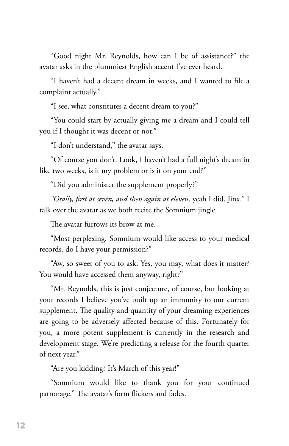"Good night Mr. Reynolds, how can I be of assistance?" the avatar asks in the plummiest English accent I've ever heard.

"I haven't had a decent dream in weeks, and I wanted to file a complaint actually."

"I see, what constitutes a decent dream to you?"

"You could start by actually giving me a dream and I could tell you if I thought it was decent or not."

"I don't understand," the avatar says.

"Of course you don't. Look, I haven't had a full night's dream in like two weeks, is it my problem or is it on your end?"

"Did you administer the supplement properly?"

*"Orally, first at seven, and then again at eleven,* yeah I did. Jinx." I talk over the avatar as we both recite the Somnium jingle.

The avatar furrows its brow at me.

"Most perplexing. Somnium would like access to your medical records, do I have your permission?"

"Aw, so sweet of you to ask. Yes, you may, what does it matter? You would have accessed them anyway, right?"

"Mr. Reynolds, this is just conjecture, of course, but looking at your records I believe you've built up an immunity to our current supplement. The quality and quantity of your dreaming experiences are going to be adversely affected because of this. Fortunately for you, a more potent supplement is currently in the research and development stage. We're predicting a release for the fourth quarter of next year."

"Are you kidding? It's March of this year!"

"Somnium would like to thank you for your continued patronage." The avatar's form flickers and fades.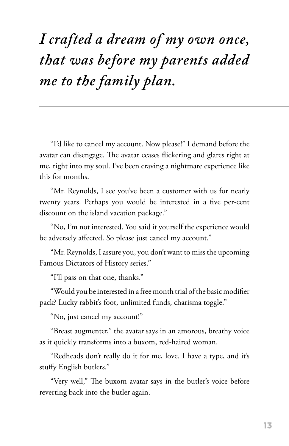## *I crafted a dream of my own once, that was before my parents added me to the family plan.*

"I'd like to cancel my account. Now please!" I demand before the avatar can disengage. The avatar ceases flickering and glares right at me, right into my soul. I've been craving a nightmare experience like this for months.

"Mr. Reynolds, I see you've been a customer with us for nearly twenty years. Perhaps you would be interested in a five per-cent discount on the island vacation package."

"No, I'm not interested. You said it yourself the experience would be adversely affected. So please just cancel my account."

"Mr. Reynolds, I assure you, you don't want to miss the upcoming Famous Dictators of History series."

"I'll pass on that one, thanks."

"Would you be interested in a free month trial of the basic modifier pack? Lucky rabbit's foot, unlimited funds, charisma toggle."

"No, just cancel my account!"

"Breast augmenter," the avatar says in an amorous, breathy voice as it quickly transforms into a buxom, red-haired woman.

"Redheads don't really do it for me, love. I have a type, and it's stuffy English butlers."

"Very well," The buxom avatar says in the butler's voice before reverting back into the butler again.